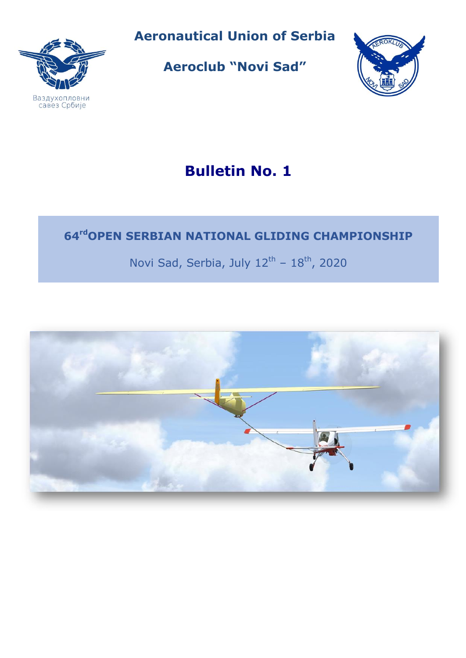

**Aeronautical Union of Serbia**

**Aeroclub "Novi Sad"**



# **Bulletin No. 1**

# **64 rdOPEN SERBIAN NATIONAL GLIDING CHAMPIONSHIP**

Novi Sad, Serbia, July  $12^{\text{th}}$  -  $18^{\text{th}}$ , 2020

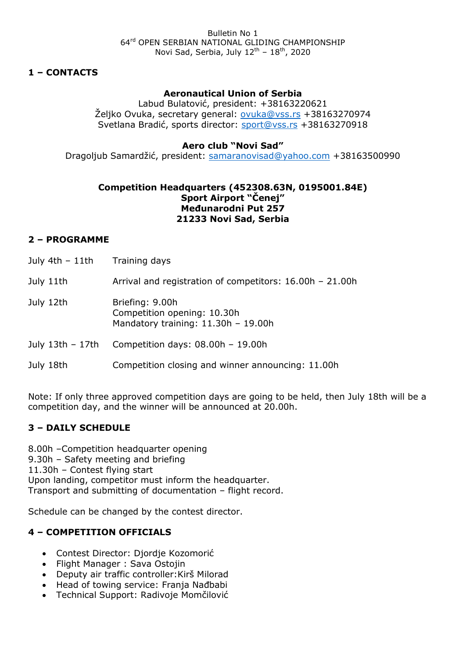#### **1 – CONTACTS**

#### **Aeronautical Union of Serbia**

Labud Bulatović, president: +38163220621 Željko Ovuka, secretary general: [ovuka@vss.rs](mailto:ovuka@vss.rs) +38163270974 Svetlana Bradić, sports director: [sport@vss.rs](mailto:sport@vss.rs) +38163270918

#### **Aero club "Novi Sad"**

Dragoljub Samardžić, president: [samaranovisad@yahoo.com](mailto:samaranovisad@yahoo.com) +38163500990

#### **Competition Headquarters (452308.63N, 0195001.84E) Sport Airport "Čenej" Međunarodni Put 257 21233 Novi Sad, Serbia**

#### **2 – PROGRAMME**

- July 4th  $-11$ th Training days
- July 11th Arrival and registration of competitors: 16.00h 21.00h
- July 12th Briefing: 9.00h Competition opening: 10.30h Mandatory training: 11.30h – 19.00h
- July 13th 17th Competition days: 08.00h 19.00h
- July 18th Competition closing and winner announcing: 11.00h

Note: If only three approved competition days are going to be held, then July 18th will be a competition day, and the winner will be announced at 20.00h.

#### **3 – DAILY SCHEDULE**

8.00h –Competition headquarter opening 9.30h – Safety meeting and briefing 11.30h – Contest flying start Upon landing, competitor must inform the headquarter. Transport and submitting of documentation – flight record.

Schedule can be changed by the contest director.

#### **4 – COMPETITION OFFICIALS**

- Contest Director: Djordje Kozomorić
- Flight Manager: Sava Ostojin
- Deputy air traffic controller:Kirš Milorad
- Head of towing service: Franja Nađbabi
- Technical Support: Radivoje Momčilović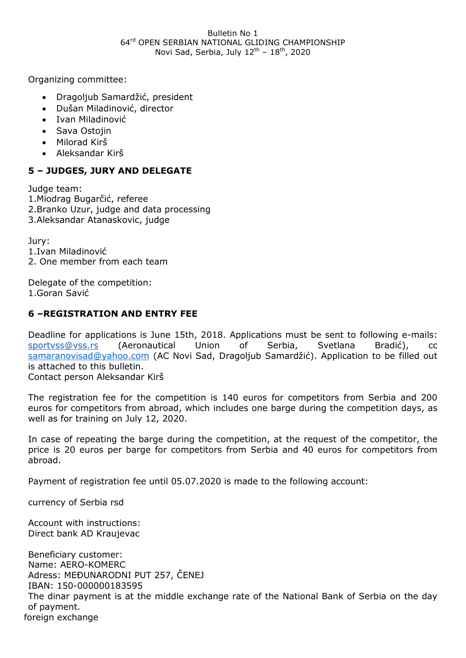#### Bulletin No 1 64rd OPEN SERBIAN NATIONAL GLIDING CHAMPIONSHIP Novi Sad, Serbia, July  $12<sup>th</sup> - 18<sup>th</sup>$ , 2020

Organizing committee:

- Dragoljub Samardžić, president
- Dušan Miladinović, director
- Ivan Miladinović
- Sava Ostojin
- Milorad Kirš
- Aleksandar Kirš

## **5 – JUDGES, JURY AND DELEGATE**

Judge team: 1.Miodrag Bugarčić, referee 2.Branko Uzur, judge and data processing 3.Aleksandar Atanaskovic, judge

Jury: 1.Ivan Miladinović 2. One member from each team

Delegate of the competition: 1.Goran Savić

## **6 –REGISTRATION AND ENTRY FEE**

Deadline for applications is June 15th, 2018. Applications must be sent to following e-mails: [sportvss@vss.rs](mailto:sportvss@vss.rs) (Aeronautical Union of Serbia, Svetlana Bradić), cc [samaranovisad@yahoo.com](mailto:samaranovisad@yahoo.com) (AC Novi Sad, Dragoljub Samardžić). Application to be filled out is attached to this bulletin. Contact person Aleksandar Kirš

The registration fee for the competition is 140 euros for competitors from Serbia and 200 euros for competitors from abroad, which includes one barge during the competition days, as well as for training on July 12, 2020.

In case of repeating the barge during the competition, at the request of the competitor, the price is 20 euros per barge for competitors from Serbia and 40 euros for competitors from abroad.

Payment of registration fee until 05.07.2020 is made to the following account:

currency of Serbia rsd

Account with instructions: Direct bank AD Kraujevac

Beneficiary customer: Name: AERO-KOMERC Adress: MEĐUNARODNI PUT 257, ČENEJ IBAN: 150-000000183595 The dinar payment is at the middle exchange rate of the National Bank of Serbia on the day of payment. foreign exchange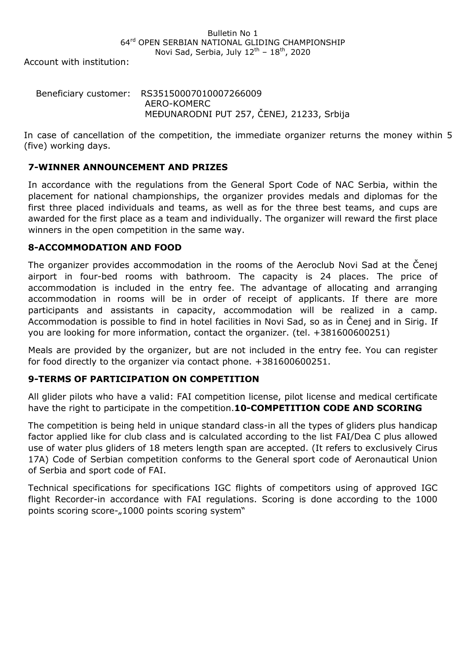#### Bulletin No 1 64rd OPEN SERBIAN NATIONAL GLIDING CHAMPIONSHIP Novi Sad, Serbia, July  $12<sup>th</sup> - 18<sup>th</sup>$ , 2020

Account with institution:

#### Beneficiary customer: RS35150007010007266009 AERO-KOMERC MEĐUNARODNI PUT 257, ČENEJ, 21233, Srbija

In case of cancellation of the competition, the immediate organizer returns the money within 5 (five) working days.

#### **7-WINNER ANNOUNCEMENT AND PRIZES**

In accordance with the regulations from the General Sport Code of NAC Serbia, within the placement for national championships, the organizer provides medals and diplomas for the first three placed individuals and teams, as well as for the three best teams, and cups are awarded for the first place as a team and individually. The organizer will reward the first place winners in the open competition in the same way.

#### **8-ACCOMMODATION AND FOOD**

Тhе оrganizer provides accommodation in the rooms of the Aeroclub Novi Sad at the Čenej airport in four-bed rooms with bathroom. The capacity is 24 places. The price of accommodation is included in the entry fee. The advantage of allocating and arranging accommodation in rooms will be in order of receipt of applicants. If there are more participants and assistants in capacity, accommodation will be realized in a camp. Accommodation is possible to find in hotel facilities in Novi Sad, so as in Čenej and in Sirig. If you are looking for more information, contact the organizer. (tel. +381600600251)

Meals are provided by the organizer, but are not included in the entry fee. You can register for food directly to the organizer via contact phone. +381600600251.

## **9-TERMS OF PARTICIPATION ON COMPETITION**

All glider pilots who have a valid: FAI competition license, pilot license and medical certificate have the right to participate in the competition.**10-COMPETITION CODE AND SCORING** 

The competition is being held in unique standard class-in all the types of gliders plus handicap factor applied like for club class and is calculated according to the list FAI/Dea C plus allowed use of water plus gliders of 18 meters length span are accepted. (It refers to exclusively Cirus 17A) Code of Serbian competition conforms to the General sport code of Aeronautical Union of Serbia and sport code of FAI.

Technical specifications for specifications IGC flights of competitors using of approved IGC flight Recorder-in accordance with FAI regulations. Scoring is done according to the 1000 points scoring score-"1000 points scoring system"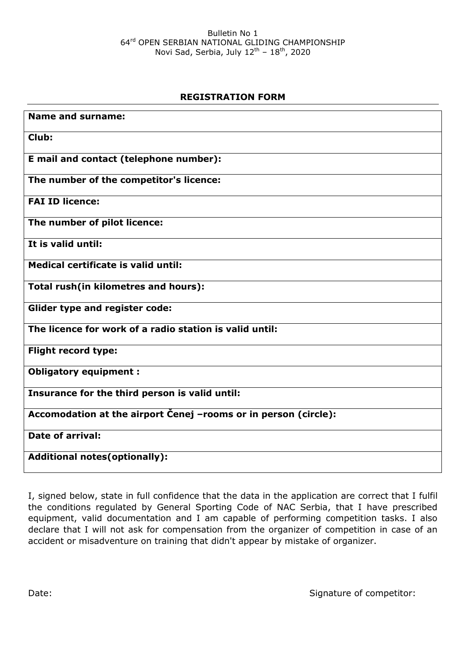# **REGISTRATION FORM**

| <b>Name and surname:</b>                                        |
|-----------------------------------------------------------------|
| Club:                                                           |
| E mail and contact (telephone number):                          |
| The number of the competitor's licence:                         |
| <b>FAI ID licence:</b>                                          |
| The number of pilot licence:                                    |
| It is valid until:                                              |
| Medical certificate is valid until:                             |
| Total rush(in kilometres and hours):                            |
| <b>Glider type and register code:</b>                           |
| The licence for work of a radio station is valid until:         |
| <b>Flight record type:</b>                                      |
| <b>Obligatory equipment:</b>                                    |
| Insurance for the third person is valid until:                  |
| Accomodation at the airport Cenej -rooms or in person (circle): |
| Date of arrival:                                                |
| <b>Additional notes (optionally):</b>                           |

I, signed below, state in full confidence that the data in the application are correct that I fulfil the conditions regulated by General Sporting Code of NAC Serbia, that I have prescribed equipment, valid documentation and I am capable of performing competition tasks. I also declare that I will not ask for compensation from the organizer of competition in case of an accident or misadventure on training that didn't appear by mistake of organizer.